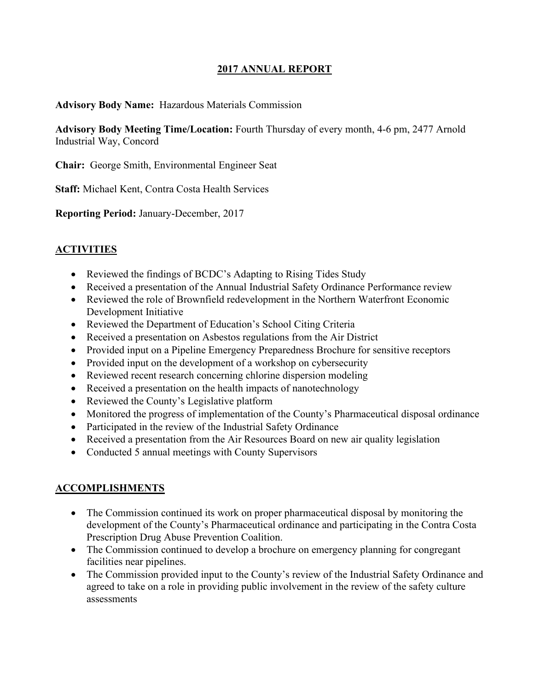#### **2017 ANNUAL REPORT**

#### **Advisory Body Name:** Hazardous Materials Commission

**Advisory Body Meeting Time/Location:** Fourth Thursday of every month, 4-6 pm, 2477 Arnold Industrial Way, Concord

**Chair:** George Smith, Environmental Engineer Seat

**Staff:** Michael Kent, Contra Costa Health Services

**Reporting Period:** January-December, 2017

#### **ACTIVITIES**

- Reviewed the findings of BCDC's Adapting to Rising Tides Study
- Received a presentation of the Annual Industrial Safety Ordinance Performance review
- Reviewed the role of Brownfield redevelopment in the Northern Waterfront Economic Development Initiative
- Reviewed the Department of Education's School Citing Criteria
- Received a presentation on Asbestos regulations from the Air District
- Provided input on a Pipeline Emergency Preparedness Brochure for sensitive receptors
- Provided input on the development of a workshop on cybersecurity
- Reviewed recent research concerning chlorine dispersion modeling
- Received a presentation on the health impacts of nanotechnology
- Reviewed the County's Legislative platform
- Monitored the progress of implementation of the County's Pharmaceutical disposal ordinance
- Participated in the review of the Industrial Safety Ordinance
- Received a presentation from the Air Resources Board on new air quality legislation
- Conducted 5 annual meetings with County Supervisors

#### **ACCOMPLISHMENTS**

- The Commission continued its work on proper pharmaceutical disposal by monitoring the development of the County's Pharmaceutical ordinance and participating in the Contra Costa Prescription Drug Abuse Prevention Coalition.
- The Commission continued to develop a brochure on emergency planning for congregant facilities near pipelines.
- The Commission provided input to the County's review of the Industrial Safety Ordinance and agreed to take on a role in providing public involvement in the review of the safety culture assessments